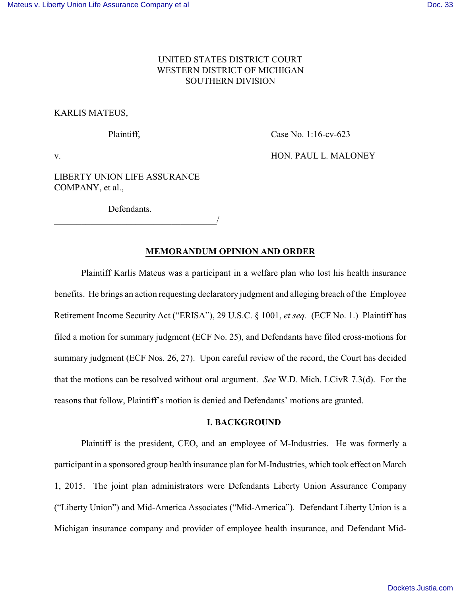# UNITED STATES DISTRICT COURT WESTERN DISTRICT OF MICHIGAN SOUTHERN DIVISION

#### KARLIS MATEUS,

Plaintiff, Case No. 1:16-cv-623

v. **HON. PAUL L. MALONEY** 

LIBERTY UNION LIFE ASSURANCE COMPANY, et al.,

**Defendants** 

\_\_\_\_\_\_\_\_\_\_\_\_\_\_\_\_\_\_\_\_\_\_\_\_\_\_\_\_\_\_\_\_\_\_\_\_/

### **MEMORANDUM OPINION AND ORDER**

Plaintiff Karlis Mateus was a participant in a welfare plan who lost his health insurance benefits. He brings an action requesting declaratory judgment and alleging breach of the Employee Retirement Income Security Act ("ERISA"), 29 U.S.C. § 1001, *et seq.* (ECF No. 1.) Plaintiff has filed a motion for summary judgment (ECF No. 25), and Defendants have filed cross-motions for summary judgment (ECF Nos. 26, 27). Upon careful review of the record, the Court has decided that the motions can be resolved without oral argument. *See* W.D. Mich. LCivR 7.3(d). For the reasons that follow, Plaintiff's motion is denied and Defendants' motions are granted.

# **I. BACKGROUND**

Plaintiff is the president, CEO, and an employee of M-Industries. He was formerly a participant in a sponsored group health insurance plan for M-Industries, which took effect on March 1, 2015. The joint plan administrators were Defendants Liberty Union Assurance Company ("Liberty Union") and Mid-America Associates ("Mid-America"). Defendant Liberty Union is a Michigan insurance company and provider of employee health insurance, and Defendant Mid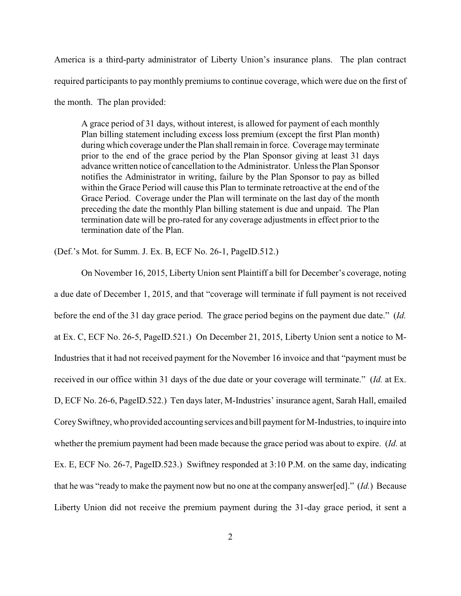America is a third-party administrator of Liberty Union's insurance plans. The plan contract required participants to pay monthly premiums to continue coverage, which were due on the first of the month. The plan provided:

A grace period of 31 days, without interest, is allowed for payment of each monthly Plan billing statement including excess loss premium (except the first Plan month) during which coverage under the Plan shall remain in force. Coverage may terminate prior to the end of the grace period by the Plan Sponsor giving at least 31 days advance written notice of cancellation to the Administrator. Unless the Plan Sponsor notifies the Administrator in writing, failure by the Plan Sponsor to pay as billed within the Grace Period will cause this Plan to terminate retroactive at the end of the Grace Period. Coverage under the Plan will terminate on the last day of the month preceding the date the monthly Plan billing statement is due and unpaid. The Plan termination date will be pro-rated for any coverage adjustments in effect prior to the termination date of the Plan.

(Def.'s Mot. for Summ. J. Ex. B, ECF No. 26-1, PageID.512.)

On November 16, 2015, Liberty Union sent Plaintiff a bill for December's coverage, noting a due date of December 1, 2015, and that "coverage will terminate if full payment is not received before the end of the 31 day grace period. The grace period begins on the payment due date." (*Id.* at Ex. C, ECF No. 26-5, PageID.521.) On December 21, 2015, Liberty Union sent a notice to M-Industries that it had not received payment for the November 16 invoice and that "payment must be received in our office within 31 days of the due date or your coverage will terminate." (*Id.* at Ex. D, ECF No. 26-6, PageID.522.) Ten days later, M-Industries' insurance agent, Sarah Hall, emailed CoreySwiftney, who provided accounting services and bill payment for M-Industries, to inquire into whether the premium payment had been made because the grace period was about to expire. (*Id.* at Ex. E, ECF No. 26-7, PageID.523.) Swiftney responded at 3:10 P.M. on the same day, indicating that he was "ready to make the payment now but no one at the company answer[ed]." (*Id.*) Because Liberty Union did not receive the premium payment during the 31-day grace period, it sent a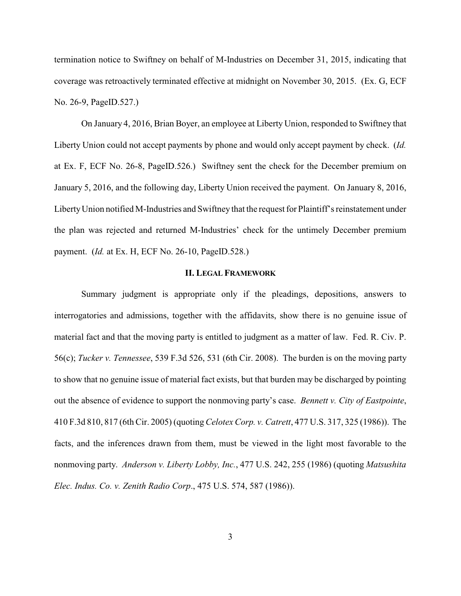termination notice to Swiftney on behalf of M-Industries on December 31, 2015, indicating that coverage was retroactively terminated effective at midnight on November 30, 2015. (Ex. G, ECF No. 26-9, PageID.527.)

On January 4, 2016, Brian Boyer, an employee at Liberty Union, responded to Swiftney that Liberty Union could not accept payments by phone and would only accept payment by check. (*Id.* at Ex. F, ECF No. 26-8, PageID.526.) Swiftney sent the check for the December premium on January 5, 2016, and the following day, Liberty Union received the payment. On January 8, 2016, LibertyUnion notified M-Industries and Swiftney that the request for Plaintiff's reinstatement under the plan was rejected and returned M-Industries' check for the untimely December premium payment. (*Id.* at Ex. H, ECF No. 26-10, PageID.528.)

# **II. LEGAL FRAMEWORK**

Summary judgment is appropriate only if the pleadings, depositions, answers to interrogatories and admissions, together with the affidavits, show there is no genuine issue of material fact and that the moving party is entitled to judgment as a matter of law. Fed. R. Civ. P. 56(c); *Tucker v. Tennessee*, 539 F.3d 526, 531 (6th Cir. 2008). The burden is on the moving party to show that no genuine issue of material fact exists, but that burden may be discharged by pointing out the absence of evidence to support the nonmoving party's case. *Bennett v. City of Eastpointe*, 410 F.3d 810, 817 (6th Cir. 2005) (quoting *Celotex Corp. v. Catrett*, 477 U.S. 317, 325 (1986)). The facts, and the inferences drawn from them, must be viewed in the light most favorable to the nonmoving party. *Anderson v. Liberty Lobby, Inc.*, 477 U.S. 242, 255 (1986) (quoting *Matsushita Elec. Indus. Co. v. Zenith Radio Corp*., 475 U.S. 574, 587 (1986)).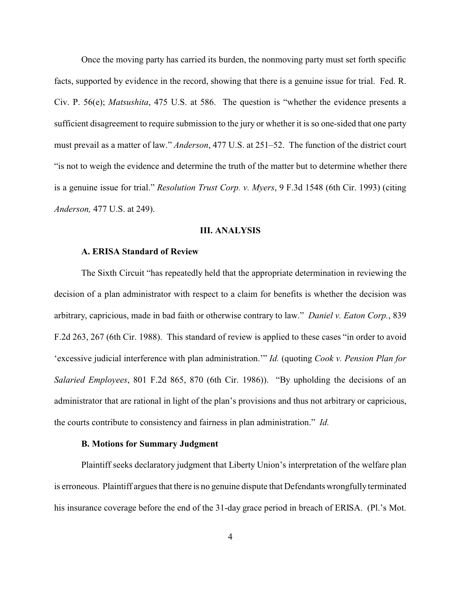Once the moving party has carried its burden, the nonmoving party must set forth specific facts, supported by evidence in the record, showing that there is a genuine issue for trial. Fed. R. Civ. P. 56(e); *Matsushita*, 475 U.S. at 586. The question is "whether the evidence presents a sufficient disagreement to require submission to the jury or whether it is so one-sided that one party must prevail as a matter of law." *Anderson*, 477 U.S. at 251–52. The function of the district court "is not to weigh the evidence and determine the truth of the matter but to determine whether there is a genuine issue for trial." *Resolution Trust Corp. v. Myers*, 9 F.3d 1548 (6th Cir. 1993) (citing *Anderson,* 477 U.S. at 249).

### **III. ANALYSIS**

### **A. ERISA Standard of Review**

The Sixth Circuit "has repeatedly held that the appropriate determination in reviewing the decision of a plan administrator with respect to a claim for benefits is whether the decision was arbitrary, capricious, made in bad faith or otherwise contrary to law."*Daniel v. Eaton Corp.*, 839 F.2d 263, 267 (6th Cir. 1988). This standard of review is applied to these cases "in order to avoid 'excessive judicial interference with plan administration.'" *Id.* (quoting *Cook v. Pension Plan for Salaried Employees*, 801 F.2d 865, 870 (6th Cir. 1986)). "By upholding the decisions of an administrator that are rational in light of the plan's provisions and thus not arbitrary or capricious, the courts contribute to consistency and fairness in plan administration." *Id.*

#### **B. Motions for Summary Judgment**

Plaintiff seeks declaratory judgment that Liberty Union's interpretation of the welfare plan is erroneous. Plaintiff argues that there is no genuine dispute that Defendants wrongfully terminated his insurance coverage before the end of the 31-day grace period in breach of ERISA. (Pl.'s Mot.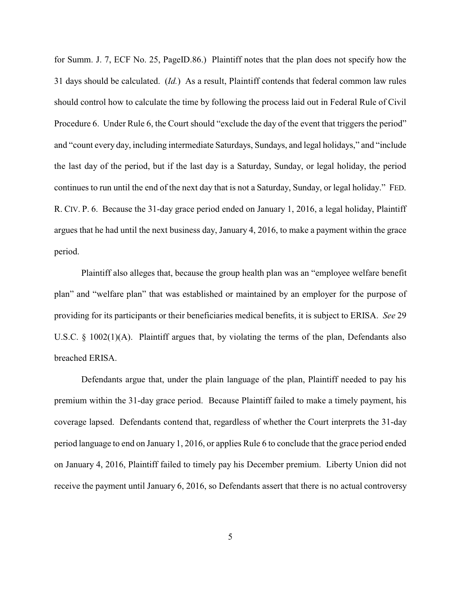for Summ. J. 7, ECF No. 25, PageID.86.) Plaintiff notes that the plan does not specify how the 31 days should be calculated. (*Id.*) As a result, Plaintiff contends that federal common law rules should control how to calculate the time by following the process laid out in Federal Rule of Civil Procedure 6. Under Rule 6, the Court should "exclude the day of the event that triggers the period" and "count every day, including intermediate Saturdays, Sundays, and legal holidays," and "include the last day of the period, but if the last day is a Saturday, Sunday, or legal holiday, the period continues to run until the end of the next day that is not a Saturday, Sunday, or legal holiday." FED. R. CIV. P. 6. Because the 31-day grace period ended on January 1, 2016, a legal holiday, Plaintiff argues that he had until the next business day, January 4, 2016, to make a payment within the grace period.

Plaintiff also alleges that, because the group health plan was an "employee welfare benefit plan" and "welfare plan" that was established or maintained by an employer for the purpose of providing for its participants or their beneficiaries medical benefits, it is subject to ERISA. *See* 29 U.S.C. § 1002(1)(A). Plaintiff argues that, by violating the terms of the plan, Defendants also breached ERISA.

Defendants argue that, under the plain language of the plan, Plaintiff needed to pay his premium within the 31-day grace period. Because Plaintiff failed to make a timely payment, his coverage lapsed. Defendants contend that, regardless of whether the Court interprets the 31-day period language to end on January 1, 2016, or applies Rule 6 to conclude that the grace period ended on January 4, 2016, Plaintiff failed to timely pay his December premium. Liberty Union did not receive the payment until January 6, 2016, so Defendants assert that there is no actual controversy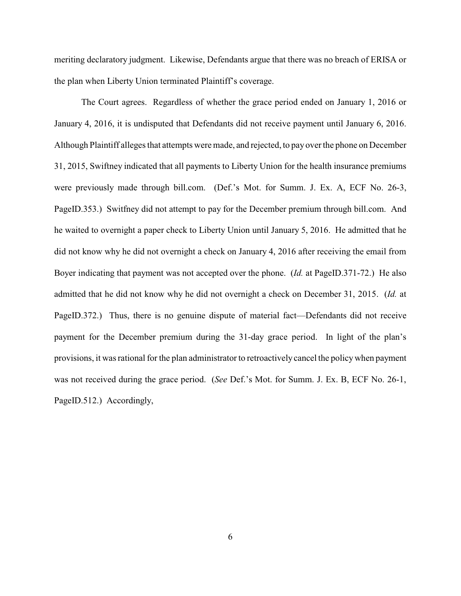meriting declaratory judgment. Likewise, Defendants argue that there was no breach of ERISA or the plan when Liberty Union terminated Plaintiff's coverage.

The Court agrees. Regardless of whether the grace period ended on January 1, 2016 or January 4, 2016, it is undisputed that Defendants did not receive payment until January 6, 2016. Although Plaintiff alleges that attempts were made, and rejected, to pay over the phone on December 31, 2015, Swiftney indicated that all payments to Liberty Union for the health insurance premiums were previously made through bill.com. (Def.'s Mot. for Summ. J. Ex. A, ECF No. 26-3, PageID.353.) Switfney did not attempt to pay for the December premium through bill.com. And he waited to overnight a paper check to Liberty Union until January 5, 2016. He admitted that he did not know why he did not overnight a check on January 4, 2016 after receiving the email from Boyer indicating that payment was not accepted over the phone. (*Id.* at PageID.371-72.) He also admitted that he did not know why he did not overnight a check on December 31, 2015. (*Id.* at PageID.372.) Thus, there is no genuine dispute of material fact—Defendants did not receive payment for the December premium during the 31-day grace period. In light of the plan's provisions, it was rational for the plan administrator to retroactively cancel the policywhen payment was not received during the grace period. (*See* Def.'s Mot. for Summ. J. Ex. B, ECF No. 26-1, PageID.512.) Accordingly,